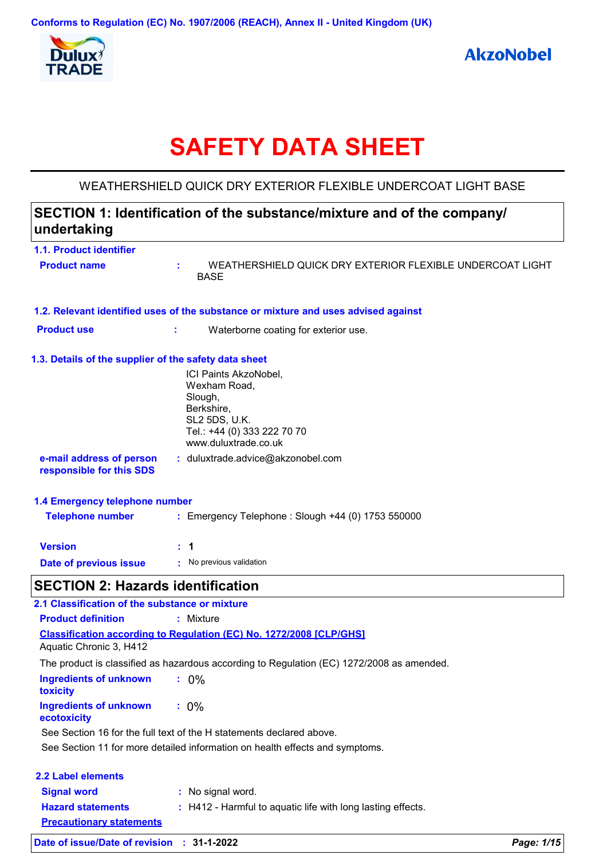

# **SAFETY DATA SHEET**

WEATHERSHIELD QUICK DRY EXTERIOR FLEXIBLE UNDERCOAT LIGHT BASE

## **SECTION 1: Identification of the substance/mixture and of the company/ undertaking**

| 1.1. Product identifier                               |                                                                                                                                        |  |  |
|-------------------------------------------------------|----------------------------------------------------------------------------------------------------------------------------------------|--|--|
| <b>Product name</b>                                   | WEATHERSHIELD QUICK DRY EXTERIOR FLEXIBLE UNDERCOAT LIGHT<br>÷.<br><b>BASE</b>                                                         |  |  |
|                                                       | 1.2. Relevant identified uses of the substance or mixture and uses advised against                                                     |  |  |
| <b>Product use</b>                                    | t<br>Waterborne coating for exterior use.                                                                                              |  |  |
| 1.3. Details of the supplier of the safety data sheet |                                                                                                                                        |  |  |
|                                                       | ICI Paints AkzoNobel,<br>Wexham Road,<br>Slough,<br>Berkshire,<br>SL2 5DS, U.K.<br>Tel.: +44 (0) 333 222 70 70<br>www.duluxtrade.co.uk |  |  |
| e-mail address of person<br>responsible for this SDS  | : duluxtrade.advice@akzonobel.com                                                                                                      |  |  |
| 1.4 Emergency telephone number                        |                                                                                                                                        |  |  |
| <b>Telephone number</b>                               | : Emergency Telephone : Slough +44 (0) 1753 550000                                                                                     |  |  |
| <b>Version</b>                                        | $\therefore$ 1                                                                                                                         |  |  |
| Date of previous issue                                | : No previous validation                                                                                                               |  |  |
| <b>SECTION 2: Hazards identification</b>              |                                                                                                                                        |  |  |
| 2.1 Classification of the substance or mixture        |                                                                                                                                        |  |  |
| <b>Product definition</b>                             | : Mixture                                                                                                                              |  |  |
| Aquatic Chronic 3, H412                               | <b>Classification according to Regulation (EC) No. 1272/2008 [CLP/GHS]</b>                                                             |  |  |
|                                                       | The product is classified as hazardous according to Regulation (EC) 1272/2008 as amended.                                              |  |  |
| <b>Ingredients of unknown</b><br>toxicity             | $: 0\%$                                                                                                                                |  |  |
| <b>Ingredients of unknown</b><br>ecotoxicity          | $: 0\%$                                                                                                                                |  |  |
|                                                       | See Section 16 for the full text of the H statements declared above.                                                                   |  |  |
|                                                       | See Section 11 for more detailed information on health effects and symptoms.                                                           |  |  |
| <b>2.2 Label elements</b>                             |                                                                                                                                        |  |  |
| <b>Signal word</b>                                    | : No signal word.                                                                                                                      |  |  |
| <b>Hazard statements</b>                              | : H412 - Harmful to aquatic life with long lasting effects.                                                                            |  |  |
| <b>Precautionary statements</b>                       |                                                                                                                                        |  |  |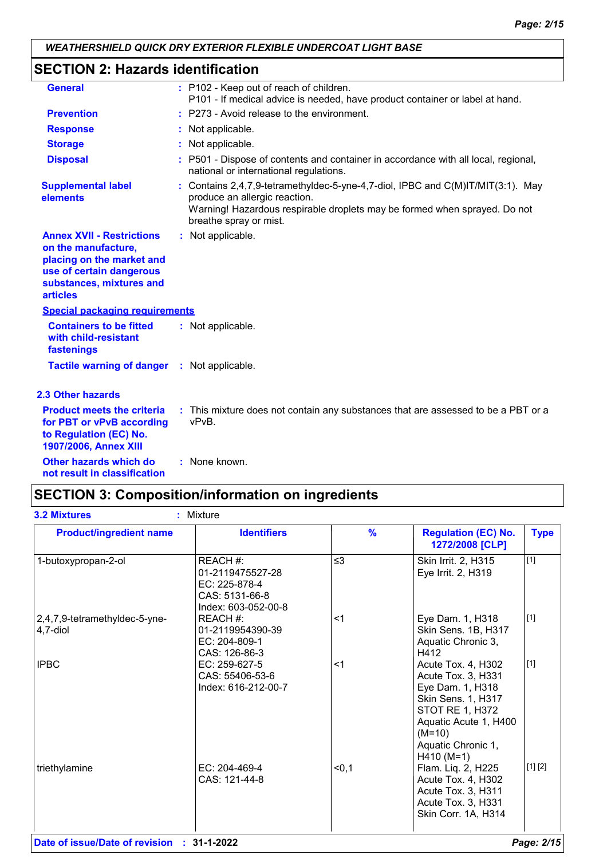## **SECTION 2: Hazards identification**

| <b>General</b>                                                                                                                                                  | : P102 - Keep out of reach of children.<br>P101 - If medical advice is needed, have product container or label at hand.                                                                                                 |
|-----------------------------------------------------------------------------------------------------------------------------------------------------------------|-------------------------------------------------------------------------------------------------------------------------------------------------------------------------------------------------------------------------|
| <b>Prevention</b>                                                                                                                                               | : P273 - Avoid release to the environment.                                                                                                                                                                              |
| <b>Response</b>                                                                                                                                                 | : Not applicable.                                                                                                                                                                                                       |
| <b>Storage</b>                                                                                                                                                  | : Not applicable.                                                                                                                                                                                                       |
| <b>Disposal</b>                                                                                                                                                 | : P501 - Dispose of contents and container in accordance with all local, regional,<br>national or international regulations.                                                                                            |
| <b>Supplemental label</b><br>elements                                                                                                                           | : Contains 2,4,7,9-tetramethyldec-5-yne-4,7-diol, IPBC and C(M)IT/MIT(3:1). May<br>produce an allergic reaction.<br>Warning! Hazardous respirable droplets may be formed when sprayed. Do not<br>breathe spray or mist. |
| <b>Annex XVII - Restrictions</b><br>on the manufacture,<br>placing on the market and<br>use of certain dangerous<br>substances, mixtures and<br><b>articles</b> | : Not applicable.                                                                                                                                                                                                       |
| <b>Special packaging requirements</b>                                                                                                                           |                                                                                                                                                                                                                         |
| <b>Containers to be fitted</b><br>with child-resistant<br>fastenings                                                                                            | : Not applicable.                                                                                                                                                                                                       |
| <b>Tactile warning of danger : Not applicable.</b>                                                                                                              |                                                                                                                                                                                                                         |
| <b>2.3 Other hazards</b>                                                                                                                                        |                                                                                                                                                                                                                         |
| <b>Product meets the criteria</b><br>for PBT or vPvB according<br>to Regulation (EC) No.<br>1907/2006, Annex XIII                                               | : This mixture does not contain any substances that are assessed to be a PBT or a<br>vPvB.                                                                                                                              |
| Other hazards which do<br>not result in classification                                                                                                          | : None known.                                                                                                                                                                                                           |

## **SECTION 3: Composition/information on ingredients**

| <b>Product/ingredient name</b>            | <b>Identifiers</b>                                                                     | $\frac{9}{6}$ | <b>Regulation (EC) No.</b><br>1272/2008 [CLP]                                                                                                                                           | <b>Type</b> |
|-------------------------------------------|----------------------------------------------------------------------------------------|---------------|-----------------------------------------------------------------------------------------------------------------------------------------------------------------------------------------|-------------|
| 1-butoxypropan-2-ol                       | REACH #:<br>01-2119475527-28<br>EC: 225-878-4<br>CAS: 5131-66-8<br>Index: 603-052-00-8 | $\leq$ 3      | Skin Irrit. 2, H315<br>Eye Irrit. 2, H319                                                                                                                                               | $[1]$       |
| 2,4,7,9-tetramethyldec-5-yne-<br>4,7-diol | REACH #:<br>01-2119954390-39<br>EC: 204-809-1<br>CAS: 126-86-3                         | $<$ 1         | Eye Dam. 1, H318<br>Skin Sens. 1B, H317<br>Aquatic Chronic 3,<br>H412                                                                                                                   | $[1]$       |
| <b>IPBC</b>                               | EC: 259-627-5<br>CAS: 55406-53-6<br>Index: 616-212-00-7                                | $<$ 1         | Acute Tox. 4, H302<br>Acute Tox. 3, H331<br>Eye Dam. 1, H318<br>Skin Sens. 1, H317<br><b>STOT RE 1, H372</b><br>Aquatic Acute 1, H400<br>$(M=10)$<br>Aquatic Chronic 1,<br>$H410 (M=1)$ | $[1]$       |
| triethylamine                             | EC: 204-469-4<br>CAS: 121-44-8                                                         | < 0, 1        | Flam. Liq. 2, H225<br>Acute Tox. 4, H302<br>Acute Tox. 3, H311<br>Acute Tox. 3, H331<br>Skin Corr. 1A, H314                                                                             | [1] [2]     |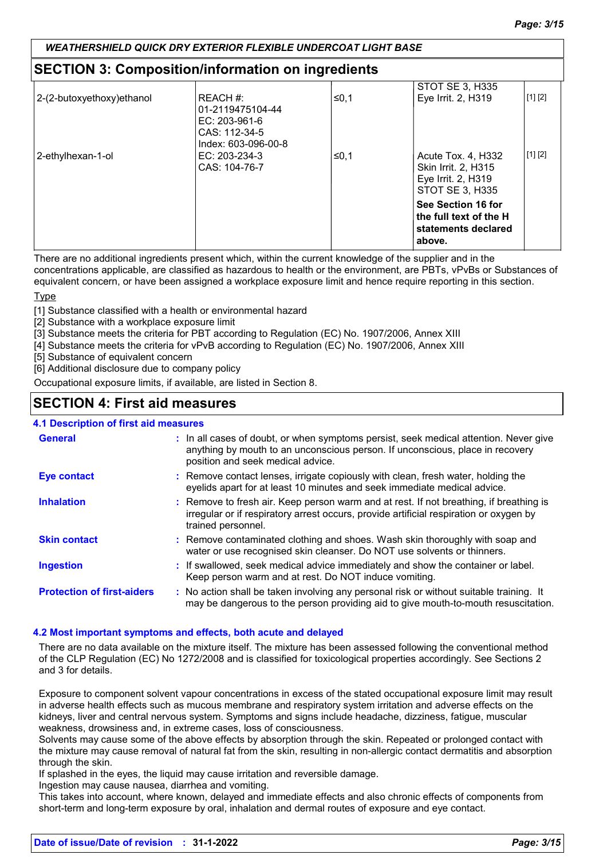## **SECTION 3: Composition/information on ingredients**

| 2-(2-butoxyethoxy) ethanol | REACH #:                         | ≤0.1 | STOT SE 3, H335<br>Eye Irrit. 2, H319         | [1] [2] |
|----------------------------|----------------------------------|------|-----------------------------------------------|---------|
|                            | 01-2119475104-44                 |      |                                               |         |
|                            | EC: $203-961-6$<br>CAS: 112-34-5 |      |                                               |         |
|                            | Index: 603-096-00-8              |      |                                               |         |
| 2-ethylhexan-1-ol          | EC: 203-234-3                    | ≤0,1 | Acute Tox. 4, H332                            | [1] [2] |
|                            | CAS: 104-76-7                    |      | Skin Irrit. 2, H315<br>Eye Irrit. 2, H319     |         |
|                            |                                  |      | STOT SE 3, H335                               |         |
|                            |                                  |      | See Section 16 for                            |         |
|                            |                                  |      | the full text of the H<br>statements declared |         |
|                            |                                  |      | above.                                        |         |
|                            |                                  |      |                                               |         |

There are no additional ingredients present which, within the current knowledge of the supplier and in the

concentrations applicable, are classified as hazardous to health or the environment, are PBTs, vPvBs or Substances of equivalent concern, or have been assigned a workplace exposure limit and hence require reporting in this section.

Type

[1] Substance classified with a health or environmental hazard

[2] Substance with a workplace exposure limit

[3] Substance meets the criteria for PBT according to Regulation (EC) No. 1907/2006, Annex XIII

[4] Substance meets the criteria for vPvB according to Regulation (EC) No. 1907/2006, Annex XIII

[5] Substance of equivalent concern

[6] Additional disclosure due to company policy

Occupational exposure limits, if available, are listed in Section 8.

## **SECTION 4: First aid measures**

### **4.1 Description of first aid measures**

| <b>General</b>                    | : In all cases of doubt, or when symptoms persist, seek medical attention. Never give<br>anything by mouth to an unconscious person. If unconscious, place in recovery<br>position and seek medical advice. |
|-----------------------------------|-------------------------------------------------------------------------------------------------------------------------------------------------------------------------------------------------------------|
| <b>Eye contact</b>                | : Remove contact lenses, irrigate copiously with clean, fresh water, holding the<br>eyelids apart for at least 10 minutes and seek immediate medical advice.                                                |
| <b>Inhalation</b>                 | : Remove to fresh air. Keep person warm and at rest. If not breathing, if breathing is<br>irregular or if respiratory arrest occurs, provide artificial respiration or oxygen by<br>trained personnel.      |
| <b>Skin contact</b>               | : Remove contaminated clothing and shoes. Wash skin thoroughly with soap and<br>water or use recognised skin cleanser. Do NOT use solvents or thinners.                                                     |
| <b>Ingestion</b>                  | : If swallowed, seek medical advice immediately and show the container or label.<br>Keep person warm and at rest. Do NOT induce vomiting.                                                                   |
| <b>Protection of first-aiders</b> | : No action shall be taken involving any personal risk or without suitable training. It<br>may be dangerous to the person providing aid to give mouth-to-mouth resuscitation.                               |

#### **4.2 Most important symptoms and effects, both acute and delayed**

There are no data available on the mixture itself. The mixture has been assessed following the conventional method of the CLP Regulation (EC) No 1272/2008 and is classified for toxicological properties accordingly. See Sections 2 and 3 for details.

Exposure to component solvent vapour concentrations in excess of the stated occupational exposure limit may result in adverse health effects such as mucous membrane and respiratory system irritation and adverse effects on the kidneys, liver and central nervous system. Symptoms and signs include headache, dizziness, fatigue, muscular weakness, drowsiness and, in extreme cases, loss of consciousness.

Solvents may cause some of the above effects by absorption through the skin. Repeated or prolonged contact with the mixture may cause removal of natural fat from the skin, resulting in non-allergic contact dermatitis and absorption through the skin.

If splashed in the eyes, the liquid may cause irritation and reversible damage.

Ingestion may cause nausea, diarrhea and vomiting.

This takes into account, where known, delayed and immediate effects and also chronic effects of components from short-term and long-term exposure by oral, inhalation and dermal routes of exposure and eye contact.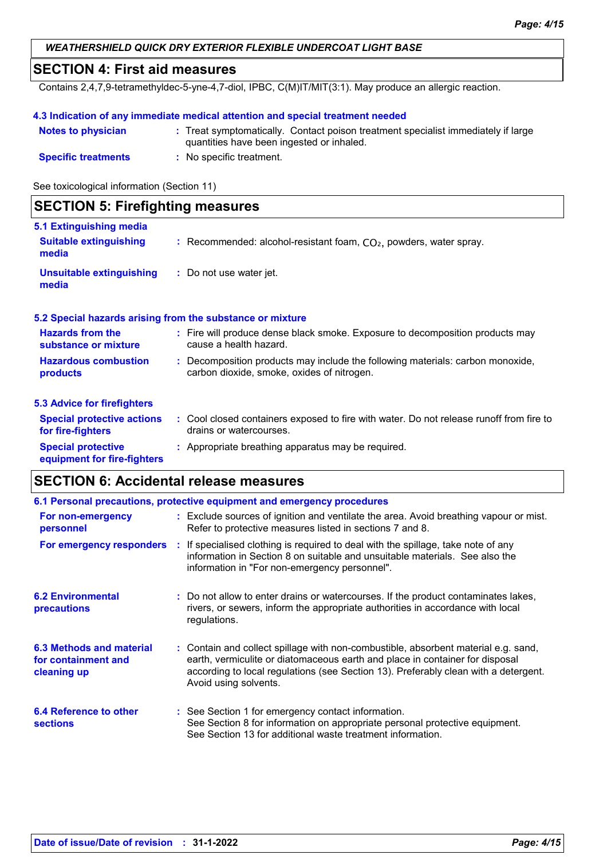## **SECTION 4: First aid measures**

Contains 2,4,7,9-tetramethyldec-5-yne-4,7-diol, IPBC, C(M)IT/MIT(3:1). May produce an allergic reaction.

### **4.3 Indication of any immediate medical attention and special treatment needed**

| <b>Notes to physician</b>  | : Treat symptomatically. Contact poison treatment specialist immediately if large<br>quantities have been ingested or inhaled. |
|----------------------------|--------------------------------------------------------------------------------------------------------------------------------|
| <b>Specific treatments</b> | No specific treatment.                                                                                                         |

See toxicological information (Section 11)

| <b>SECTION 5: Firefighting measures</b>                  |                                                                                                                              |  |  |
|----------------------------------------------------------|------------------------------------------------------------------------------------------------------------------------------|--|--|
| 5.1 Extinguishing media                                  |                                                                                                                              |  |  |
| <b>Suitable extinguishing</b><br>media                   | : Recommended: alcohol-resistant foam, $CO2$ , powders, water spray.                                                         |  |  |
| Unsuitable extinguishing<br>media                        | : Do not use water jet.                                                                                                      |  |  |
|                                                          | 5.2 Special hazards arising from the substance or mixture                                                                    |  |  |
| <b>Hazards from the</b><br>substance or mixture          | : Fire will produce dense black smoke. Exposure to decomposition products may<br>cause a health hazard.                      |  |  |
| <b>Hazardous combustion</b><br>products                  | : Decomposition products may include the following materials: carbon monoxide,<br>carbon dioxide, smoke, oxides of nitrogen. |  |  |
| <b>5.3 Advice for firefighters</b>                       |                                                                                                                              |  |  |
| <b>Special protective actions</b><br>for fire-fighters   | : Cool closed containers exposed to fire with water. Do not release runoff from fire to<br>drains or watercourses.           |  |  |
| <b>Special protective</b><br>equipment for fire-fighters | : Appropriate breathing apparatus may be required.                                                                           |  |  |

## **SECTION 6: Accidental release measures**

|                                                                       | 6.1 Personal precautions, protective equipment and emergency procedures                                                                                                                                                                                                            |
|-----------------------------------------------------------------------|------------------------------------------------------------------------------------------------------------------------------------------------------------------------------------------------------------------------------------------------------------------------------------|
| For non-emergency<br>personnel                                        | : Exclude sources of ignition and ventilate the area. Avoid breathing vapour or mist.<br>Refer to protective measures listed in sections 7 and 8.                                                                                                                                  |
| For emergency responders                                              | : If specialised clothing is required to deal with the spillage, take note of any<br>information in Section 8 on suitable and unsuitable materials. See also the<br>information in "For non-emergency personnel".                                                                  |
| <b>6.2 Environmental</b><br>precautions                               | : Do not allow to enter drains or watercourses. If the product contaminates lakes,<br>rivers, or sewers, inform the appropriate authorities in accordance with local<br>regulations.                                                                                               |
| <b>6.3 Methods and material</b><br>for containment and<br>cleaning up | : Contain and collect spillage with non-combustible, absorbent material e.g. sand,<br>earth, vermiculite or diatomaceous earth and place in container for disposal<br>according to local regulations (see Section 13). Preferably clean with a detergent.<br>Avoid using solvents. |
| 6.4 Reference to other<br><b>sections</b>                             | : See Section 1 for emergency contact information.<br>See Section 8 for information on appropriate personal protective equipment.<br>See Section 13 for additional waste treatment information.                                                                                    |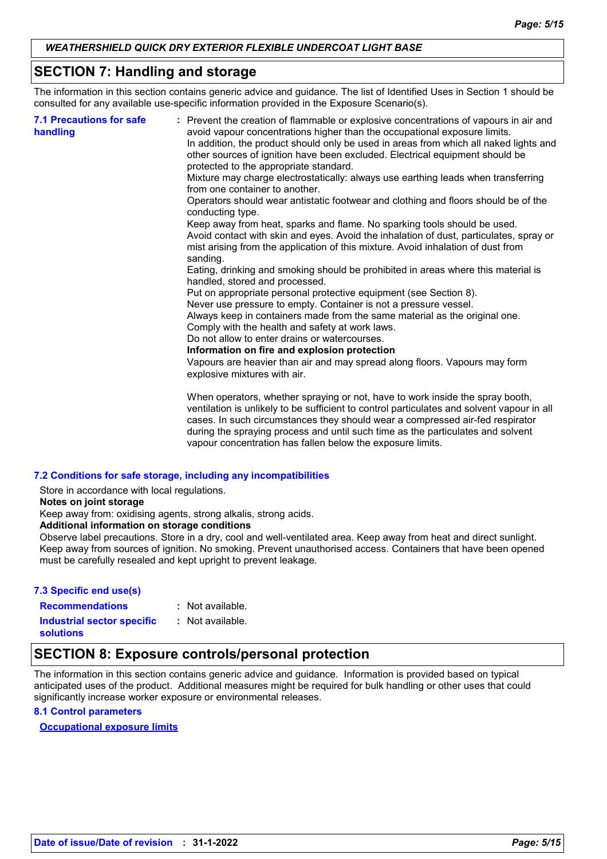## **SECTION 7: Handling and storage**

The information in this section contains generic advice and guidance. The list of Identified Uses in Section 1 should be consulted for any available use-specific information provided in the Exposure Scenario(s).

| <b>7.1 Precautions for safe</b><br>handling | : Prevent the creation of flammable or explosive concentrations of vapours in air and<br>avoid vapour concentrations higher than the occupational exposure limits.<br>In addition, the product should only be used in areas from which all naked lights and<br>other sources of ignition have been excluded. Electrical equipment should be<br>protected to the appropriate standard. |
|---------------------------------------------|---------------------------------------------------------------------------------------------------------------------------------------------------------------------------------------------------------------------------------------------------------------------------------------------------------------------------------------------------------------------------------------|
|                                             | Mixture may charge electrostatically: always use earthing leads when transferring<br>from one container to another.                                                                                                                                                                                                                                                                   |
|                                             | Operators should wear antistatic footwear and clothing and floors should be of the<br>conducting type.                                                                                                                                                                                                                                                                                |
|                                             | Keep away from heat, sparks and flame. No sparking tools should be used.<br>Avoid contact with skin and eyes. Avoid the inhalation of dust, particulates, spray or<br>mist arising from the application of this mixture. Avoid inhalation of dust from<br>sanding.                                                                                                                    |
|                                             | Eating, drinking and smoking should be prohibited in areas where this material is<br>handled, stored and processed.                                                                                                                                                                                                                                                                   |
|                                             | Put on appropriate personal protective equipment (see Section 8).                                                                                                                                                                                                                                                                                                                     |
|                                             | Never use pressure to empty. Container is not a pressure vessel.                                                                                                                                                                                                                                                                                                                      |
|                                             | Always keep in containers made from the same material as the original one.<br>Comply with the health and safety at work laws.                                                                                                                                                                                                                                                         |
|                                             | Do not allow to enter drains or watercourses.                                                                                                                                                                                                                                                                                                                                         |
|                                             | Information on fire and explosion protection                                                                                                                                                                                                                                                                                                                                          |
|                                             | Vapours are heavier than air and may spread along floors. Vapours may form<br>explosive mixtures with air.                                                                                                                                                                                                                                                                            |
|                                             | When operators, whether spraying or not, have to work inside the spray booth,<br>ventilation is unlikely to be sufficient to control particulates and solvent vapour in all<br>cases. In such circumstances they should wear a compressed air-fed respirator<br>during the spraying process and until such time as the particulates and solvent                                       |

#### **7.2 Conditions for safe storage, including any incompatibilities**

Store in accordance with local regulations.

**Notes on joint storage**

Keep away from: oxidising agents, strong alkalis, strong acids.

**Additional information on storage conditions**

Observe label precautions. Store in a dry, cool and well-ventilated area. Keep away from heat and direct sunlight. Keep away from sources of ignition. No smoking. Prevent unauthorised access. Containers that have been opened must be carefully resealed and kept upright to prevent leakage.

vapour concentration has fallen below the exposure limits.

### **7.3 Specific end use(s) Recommendations :**

: Not available.

**Industrial sector specific :**

: Not available.

**solutions**

## **SECTION 8: Exposure controls/personal protection**

The information in this section contains generic advice and guidance. Information is provided based on typical anticipated uses of the product. Additional measures might be required for bulk handling or other uses that could significantly increase worker exposure or environmental releases.

#### **8.1 Control parameters**

**Occupational exposure limits**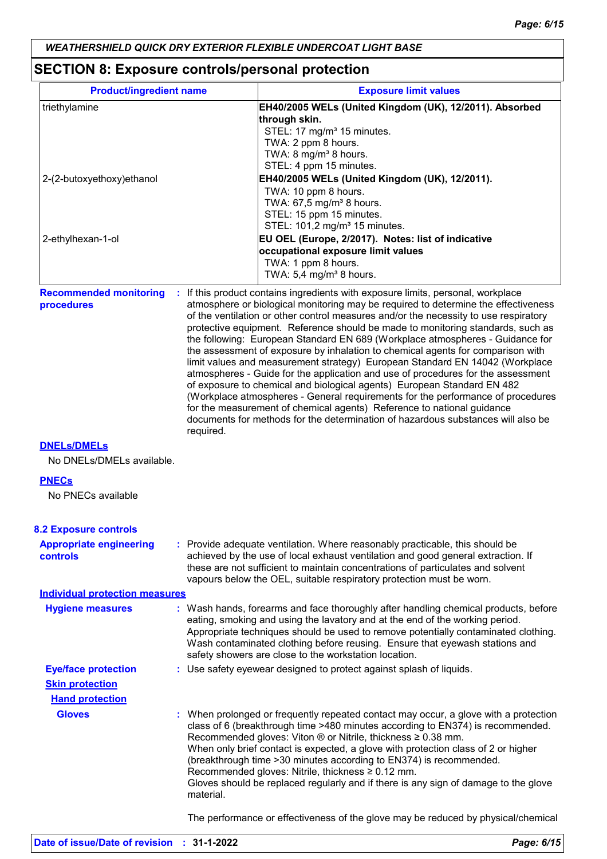## **SECTION 8: Exposure controls/personal protection**

| <b>Product/ingredient name</b>                    |           | <b>Exposure limit values</b>                                                                                                                                                                                                                                                                                                                                                                                                                                                                                                                                                                                                                                                                                                                                                                                                                                                                                                                                                                                        |
|---------------------------------------------------|-----------|---------------------------------------------------------------------------------------------------------------------------------------------------------------------------------------------------------------------------------------------------------------------------------------------------------------------------------------------------------------------------------------------------------------------------------------------------------------------------------------------------------------------------------------------------------------------------------------------------------------------------------------------------------------------------------------------------------------------------------------------------------------------------------------------------------------------------------------------------------------------------------------------------------------------------------------------------------------------------------------------------------------------|
| triethylamine                                     |           | EH40/2005 WELs (United Kingdom (UK), 12/2011). Absorbed                                                                                                                                                                                                                                                                                                                                                                                                                                                                                                                                                                                                                                                                                                                                                                                                                                                                                                                                                             |
|                                                   |           | through skin.                                                                                                                                                                                                                                                                                                                                                                                                                                                                                                                                                                                                                                                                                                                                                                                                                                                                                                                                                                                                       |
|                                                   |           | STEL: 17 mg/m <sup>3</sup> 15 minutes.                                                                                                                                                                                                                                                                                                                                                                                                                                                                                                                                                                                                                                                                                                                                                                                                                                                                                                                                                                              |
|                                                   |           | TWA: 2 ppm 8 hours.                                                                                                                                                                                                                                                                                                                                                                                                                                                                                                                                                                                                                                                                                                                                                                                                                                                                                                                                                                                                 |
|                                                   |           | TWA: 8 mg/m <sup>3</sup> 8 hours.                                                                                                                                                                                                                                                                                                                                                                                                                                                                                                                                                                                                                                                                                                                                                                                                                                                                                                                                                                                   |
|                                                   |           | STEL: 4 ppm 15 minutes.                                                                                                                                                                                                                                                                                                                                                                                                                                                                                                                                                                                                                                                                                                                                                                                                                                                                                                                                                                                             |
| 2-(2-butoxyethoxy) ethanol                        |           | EH40/2005 WELs (United Kingdom (UK), 12/2011).                                                                                                                                                                                                                                                                                                                                                                                                                                                                                                                                                                                                                                                                                                                                                                                                                                                                                                                                                                      |
|                                                   |           | TWA: 10 ppm 8 hours.                                                                                                                                                                                                                                                                                                                                                                                                                                                                                                                                                                                                                                                                                                                                                                                                                                                                                                                                                                                                |
|                                                   |           | TWA: 67,5 mg/m <sup>3</sup> 8 hours.                                                                                                                                                                                                                                                                                                                                                                                                                                                                                                                                                                                                                                                                                                                                                                                                                                                                                                                                                                                |
|                                                   |           | STEL: 15 ppm 15 minutes.<br>STEL: 101,2 mg/m <sup>3</sup> 15 minutes.                                                                                                                                                                                                                                                                                                                                                                                                                                                                                                                                                                                                                                                                                                                                                                                                                                                                                                                                               |
|                                                   |           |                                                                                                                                                                                                                                                                                                                                                                                                                                                                                                                                                                                                                                                                                                                                                                                                                                                                                                                                                                                                                     |
| 2-ethylhexan-1-ol                                 |           | EU OEL (Europe, 2/2017). Notes: list of indicative<br>occupational exposure limit values                                                                                                                                                                                                                                                                                                                                                                                                                                                                                                                                                                                                                                                                                                                                                                                                                                                                                                                            |
|                                                   |           | TWA: 1 ppm 8 hours.                                                                                                                                                                                                                                                                                                                                                                                                                                                                                                                                                                                                                                                                                                                                                                                                                                                                                                                                                                                                 |
|                                                   |           | TWA: 5,4 mg/m <sup>3</sup> 8 hours.                                                                                                                                                                                                                                                                                                                                                                                                                                                                                                                                                                                                                                                                                                                                                                                                                                                                                                                                                                                 |
|                                                   |           |                                                                                                                                                                                                                                                                                                                                                                                                                                                                                                                                                                                                                                                                                                                                                                                                                                                                                                                                                                                                                     |
| <b>Recommended monitoring</b><br>procedures       | required. | If this product contains ingredients with exposure limits, personal, workplace<br>atmosphere or biological monitoring may be required to determine the effectiveness<br>of the ventilation or other control measures and/or the necessity to use respiratory<br>protective equipment. Reference should be made to monitoring standards, such as<br>the following: European Standard EN 689 (Workplace atmospheres - Guidance for<br>the assessment of exposure by inhalation to chemical agents for comparison with<br>limit values and measurement strategy) European Standard EN 14042 (Workplace<br>atmospheres - Guide for the application and use of procedures for the assessment<br>of exposure to chemical and biological agents) European Standard EN 482<br>(Workplace atmospheres - General requirements for the performance of procedures<br>for the measurement of chemical agents) Reference to national guidance<br>documents for methods for the determination of hazardous substances will also be |
| <b>DNELS/DMELS</b><br>No DNELs/DMELs available.   |           |                                                                                                                                                                                                                                                                                                                                                                                                                                                                                                                                                                                                                                                                                                                                                                                                                                                                                                                                                                                                                     |
| <b>PNECs</b>                                      |           |                                                                                                                                                                                                                                                                                                                                                                                                                                                                                                                                                                                                                                                                                                                                                                                                                                                                                                                                                                                                                     |
| No PNECs available                                |           |                                                                                                                                                                                                                                                                                                                                                                                                                                                                                                                                                                                                                                                                                                                                                                                                                                                                                                                                                                                                                     |
| <b>8.2 Exposure controls</b>                      |           |                                                                                                                                                                                                                                                                                                                                                                                                                                                                                                                                                                                                                                                                                                                                                                                                                                                                                                                                                                                                                     |
| <b>Appropriate engineering</b><br><b>controls</b> |           | : Provide adequate ventilation. Where reasonably practicable, this should be<br>achieved by the use of local exhaust ventilation and good general extraction. If<br>these are not sufficient to maintain concentrations of particulates and solvent<br>vapours below the OEL, suitable respiratory protection must be worn.                                                                                                                                                                                                                                                                                                                                                                                                                                                                                                                                                                                                                                                                                         |
| <b>Individual protection measures</b>             |           |                                                                                                                                                                                                                                                                                                                                                                                                                                                                                                                                                                                                                                                                                                                                                                                                                                                                                                                                                                                                                     |
| <b>Hygiene measures</b>                           |           | : Wash hands, forearms and face thoroughly after handling chemical products, before<br>eating, smoking and using the lavatory and at the end of the working period.<br>Appropriate techniques should be used to remove potentially contaminated clothing.<br>Wash contaminated clothing before reusing. Ensure that eyewash stations and<br>safety showers are close to the workstation location.                                                                                                                                                                                                                                                                                                                                                                                                                                                                                                                                                                                                                   |
| <b>Eye/face protection</b>                        |           | : Use safety eyewear designed to protect against splash of liquids.                                                                                                                                                                                                                                                                                                                                                                                                                                                                                                                                                                                                                                                                                                                                                                                                                                                                                                                                                 |
| <b>Skin protection</b>                            |           |                                                                                                                                                                                                                                                                                                                                                                                                                                                                                                                                                                                                                                                                                                                                                                                                                                                                                                                                                                                                                     |
|                                                   |           |                                                                                                                                                                                                                                                                                                                                                                                                                                                                                                                                                                                                                                                                                                                                                                                                                                                                                                                                                                                                                     |
| <b>Hand protection</b>                            |           |                                                                                                                                                                                                                                                                                                                                                                                                                                                                                                                                                                                                                                                                                                                                                                                                                                                                                                                                                                                                                     |
| <b>Gloves</b>                                     | material. | : When prolonged or frequently repeated contact may occur, a glove with a protection<br>class of 6 (breakthrough time >480 minutes according to EN374) is recommended.<br>Recommended gloves: Viton ® or Nitrile, thickness ≥ 0.38 mm.<br>When only brief contact is expected, a glove with protection class of 2 or higher<br>(breakthrough time > 30 minutes according to EN374) is recommended.<br>Recommended gloves: Nitrile, thickness ≥ 0.12 mm.<br>Gloves should be replaced regularly and if there is any sign of damage to the glove                                                                                                                                                                                                                                                                                                                                                                                                                                                                      |
|                                                   |           | The performance or effectiveness of the glove may be reduced by physical/chemical                                                                                                                                                                                                                                                                                                                                                                                                                                                                                                                                                                                                                                                                                                                                                                                                                                                                                                                                   |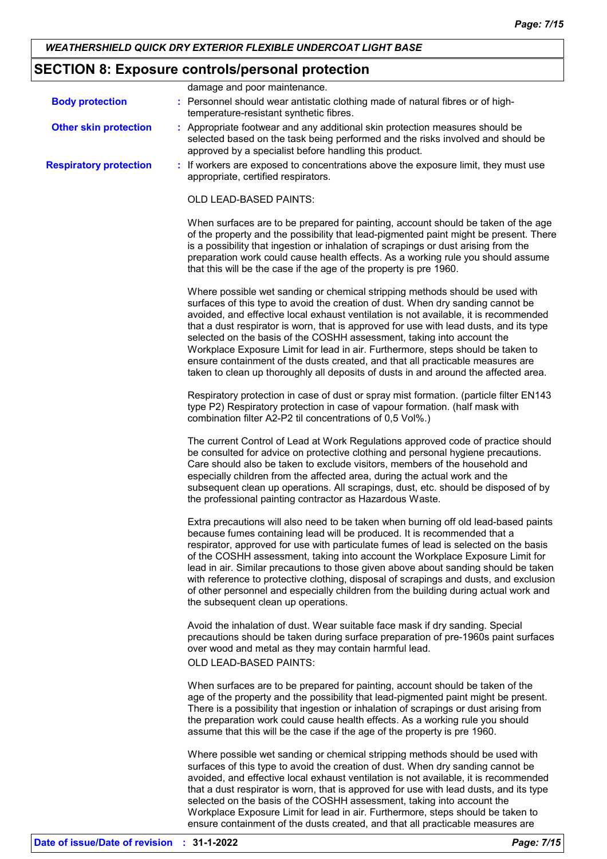## **SECTION 8: Exposure controls/personal protection**

|                               | damage and poor maintenance.                                                                                                                                                                                                                                                                                                                                                                                                                                                                                                                                                                                                                                                            |
|-------------------------------|-----------------------------------------------------------------------------------------------------------------------------------------------------------------------------------------------------------------------------------------------------------------------------------------------------------------------------------------------------------------------------------------------------------------------------------------------------------------------------------------------------------------------------------------------------------------------------------------------------------------------------------------------------------------------------------------|
| <b>Body protection</b>        | : Personnel should wear antistatic clothing made of natural fibres or of high-<br>temperature-resistant synthetic fibres.                                                                                                                                                                                                                                                                                                                                                                                                                                                                                                                                                               |
| <b>Other skin protection</b>  | : Appropriate footwear and any additional skin protection measures should be<br>selected based on the task being performed and the risks involved and should be<br>approved by a specialist before handling this product.                                                                                                                                                                                                                                                                                                                                                                                                                                                               |
| <b>Respiratory protection</b> | : If workers are exposed to concentrations above the exposure limit, they must use<br>appropriate, certified respirators.                                                                                                                                                                                                                                                                                                                                                                                                                                                                                                                                                               |
|                               | OLD LEAD-BASED PAINTS:                                                                                                                                                                                                                                                                                                                                                                                                                                                                                                                                                                                                                                                                  |
|                               | When surfaces are to be prepared for painting, account should be taken of the age<br>of the property and the possibility that lead-pigmented paint might be present. There<br>is a possibility that ingestion or inhalation of scrapings or dust arising from the<br>preparation work could cause health effects. As a working rule you should assume<br>that this will be the case if the age of the property is pre 1960.                                                                                                                                                                                                                                                             |
|                               | Where possible wet sanding or chemical stripping methods should be used with<br>surfaces of this type to avoid the creation of dust. When dry sanding cannot be<br>avoided, and effective local exhaust ventilation is not available, it is recommended<br>that a dust respirator is worn, that is approved for use with lead dusts, and its type<br>selected on the basis of the COSHH assessment, taking into account the<br>Workplace Exposure Limit for lead in air. Furthermore, steps should be taken to<br>ensure containment of the dusts created, and that all practicable measures are<br>taken to clean up thoroughly all deposits of dusts in and around the affected area. |
|                               | Respiratory protection in case of dust or spray mist formation. (particle filter EN143<br>type P2) Respiratory protection in case of vapour formation. (half mask with<br>combination filter A2-P2 til concentrations of 0,5 Vol%.)                                                                                                                                                                                                                                                                                                                                                                                                                                                     |
|                               | The current Control of Lead at Work Regulations approved code of practice should<br>be consulted for advice on protective clothing and personal hygiene precautions.<br>Care should also be taken to exclude visitors, members of the household and<br>especially children from the affected area, during the actual work and the<br>subsequent clean up operations. All scrapings, dust, etc. should be disposed of by<br>the professional painting contractor as Hazardous Waste.                                                                                                                                                                                                     |
|                               | Extra precautions will also need to be taken when burning off old lead-based paints<br>because fumes containing lead will be produced. It is recommended that a<br>respirator, approved for use with particulate fumes of lead is selected on the basis<br>of the COSHH assessment, taking into account the Workplace Exposure Limit for<br>lead in air. Similar precautions to those given above about sanding should be taken<br>with reference to protective clothing, disposal of scrapings and dusts, and exclusion<br>of other personnel and especially children from the building during actual work and<br>the subsequent clean up operations.                                  |
|                               | Avoid the inhalation of dust. Wear suitable face mask if dry sanding. Special<br>precautions should be taken during surface preparation of pre-1960s paint surfaces<br>over wood and metal as they may contain harmful lead.                                                                                                                                                                                                                                                                                                                                                                                                                                                            |
|                               | OLD LEAD-BASED PAINTS:                                                                                                                                                                                                                                                                                                                                                                                                                                                                                                                                                                                                                                                                  |
|                               | When surfaces are to be prepared for painting, account should be taken of the<br>age of the property and the possibility that lead-pigmented paint might be present.<br>There is a possibility that ingestion or inhalation of scrapings or dust arising from<br>the preparation work could cause health effects. As a working rule you should<br>assume that this will be the case if the age of the property is pre 1960.                                                                                                                                                                                                                                                             |
|                               | Where possible wet sanding or chemical stripping methods should be used with<br>surfaces of this type to avoid the creation of dust. When dry sanding cannot be<br>avoided, and effective local exhaust ventilation is not available, it is recommended<br>that a dust respirator is worn, that is approved for use with lead dusts, and its type<br>selected on the basis of the COSHH assessment, taking into account the<br>Workplace Exposure Limit for lead in air. Furthermore, steps should be taken to                                                                                                                                                                          |

ensure containment of the dusts created, and that all practicable measures are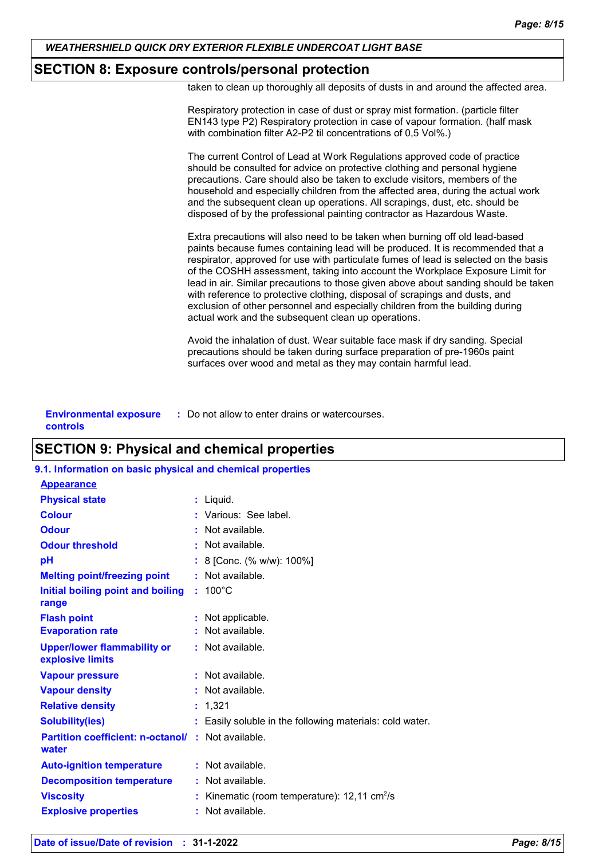## **SECTION 8: Exposure controls/personal protection**

taken to clean up thoroughly all deposits of dusts in and around the affected area.

| Respiratory protection in case of dust or spray mist formation. (particle filter<br>EN143 type P2) Respiratory protection in case of vapour formation. (half mask<br>with combination filter A2-P2 til concentrations of 0,5 Vol%.)                                                                                                                                                                                                                                                                                                                                                                                                                    |
|--------------------------------------------------------------------------------------------------------------------------------------------------------------------------------------------------------------------------------------------------------------------------------------------------------------------------------------------------------------------------------------------------------------------------------------------------------------------------------------------------------------------------------------------------------------------------------------------------------------------------------------------------------|
| The current Control of Lead at Work Regulations approved code of practice<br>should be consulted for advice on protective clothing and personal hygiene<br>precautions. Care should also be taken to exclude visitors, members of the<br>household and especially children from the affected area, during the actual work<br>and the subsequent clean up operations. All scrapings, dust, etc. should be<br>disposed of by the professional painting contractor as Hazardous Waste.                                                                                                                                                                    |
| Extra precautions will also need to be taken when burning off old lead-based<br>paints because fumes containing lead will be produced. It is recommended that a<br>respirator, approved for use with particulate fumes of lead is selected on the basis<br>of the COSHH assessment, taking into account the Workplace Exposure Limit for<br>lead in air. Similar precautions to those given above about sanding should be taken<br>with reference to protective clothing, disposal of scrapings and dusts, and<br>exclusion of other personnel and especially children from the building during<br>actual work and the subsequent clean up operations. |
| Avoid the inhalation of dust. Wear suitable face mask if dry sanding. Special<br>precautions should be taken during surface preparation of pre-1960s paint<br>surfaces over wood and metal as they may contain harmful lead.                                                                                                                                                                                                                                                                                                                                                                                                                           |
|                                                                                                                                                                                                                                                                                                                                                                                                                                                                                                                                                                                                                                                        |

| <b>Environmental exposure</b> | : Do not allow to enter drains or watercourses. |
|-------------------------------|-------------------------------------------------|
| controls                      |                                                 |

## **SECTION 9: Physical and chemical properties**

## **9.1. Information on basic physical and chemical properties**

| <b>Appearance</b>                                      |                                                          |
|--------------------------------------------------------|----------------------------------------------------------|
| <b>Physical state</b>                                  | : Liquid.                                                |
| <b>Colour</b>                                          | : Various: See label.                                    |
| <b>Odour</b>                                           | : Not available.                                         |
| <b>Odour threshold</b>                                 | $\cdot$ Not available.                                   |
| pH                                                     | : 8 [Conc. (% w/w): 100%]                                |
| <b>Melting point/freezing point</b>                    | : Not available.                                         |
| <b>Initial boiling point and boiling</b>               | $: 100^{\circ}$ C                                        |
| range                                                  |                                                          |
| <b>Flash point</b>                                     | Not applicable.                                          |
| <b>Evaporation rate</b>                                | Not available.                                           |
| <b>Upper/lower flammability or</b><br>explosive limits | : Not available.                                         |
| <b>Vapour pressure</b>                                 | : Not available.                                         |
| <b>Vapour density</b>                                  | : Not available.                                         |
| <b>Relative density</b>                                | : 1,321                                                  |
| <b>Solubility(ies)</b>                                 | Easily soluble in the following materials: cold water.   |
| <b>Partition coefficient: n-octanol/</b><br>water      | $:$ Not available.                                       |
| <b>Auto-ignition temperature</b>                       | : Not available.                                         |
| <b>Decomposition temperature</b>                       | : Not available.                                         |
| <b>Viscosity</b>                                       | Kinematic (room temperature): $12,11$ cm <sup>2</sup> /s |
| <b>Explosive properties</b>                            | Not available.                                           |
|                                                        |                                                          |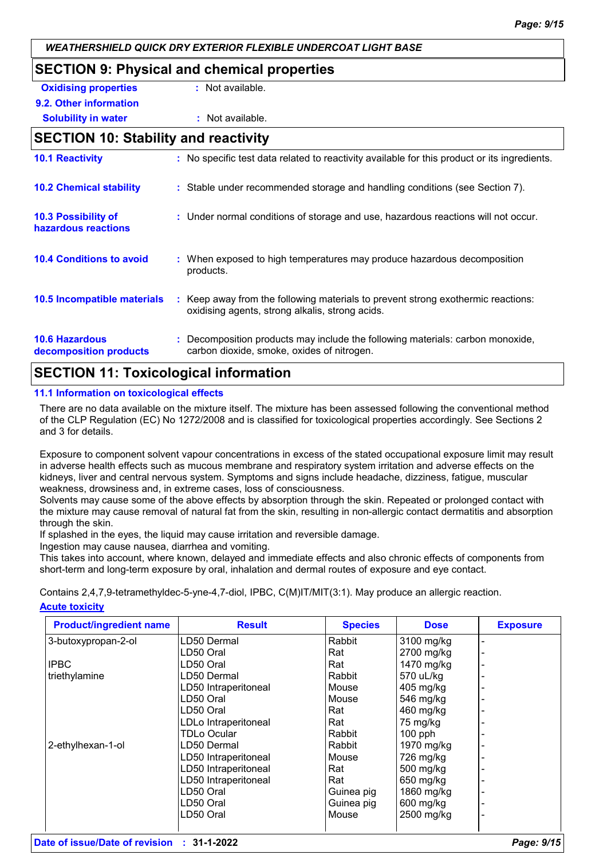## **SECTION 9: Physical and chemical properties Oxidising properties :** Not available. **9.2. Other information Solubility in water :** Not available. **SECTION 10: Stability and reactivity 10.2 Chemical stability :** Stable under recommended storage and handling conditions (see Section 7). **10.3 Possibility of hazardous reactions :** Under normal conditions of storage and use, hazardous reactions will not occur. **10.1 Reactivity :** No specific test data related to reactivity available for this product or its ingredients.

#### : Keep away from the following materials to prevent strong exothermic reactions: oxidising agents, strong alkalis, strong acids. **10.4 Conditions to avoid conditional E** When exposed to high temperatures may produce hazardous decomposition products. **10.5 Incompatible materials :**

#### **10.6 Hazardous decomposition products :** Decomposition products may include the following materials: carbon monoxide, carbon dioxide, smoke, oxides of nitrogen.

## **SECTION 11: Toxicological information**

### **11.1 Information on toxicological effects**

There are no data available on the mixture itself. The mixture has been assessed following the conventional method of the CLP Regulation (EC) No 1272/2008 and is classified for toxicological properties accordingly. See Sections 2 and 3 for details.

Exposure to component solvent vapour concentrations in excess of the stated occupational exposure limit may result in adverse health effects such as mucous membrane and respiratory system irritation and adverse effects on the kidneys, liver and central nervous system. Symptoms and signs include headache, dizziness, fatigue, muscular weakness, drowsiness and, in extreme cases, loss of consciousness.

Solvents may cause some of the above effects by absorption through the skin. Repeated or prolonged contact with the mixture may cause removal of natural fat from the skin, resulting in non-allergic contact dermatitis and absorption through the skin.

If splashed in the eyes, the liquid may cause irritation and reversible damage.

Ingestion may cause nausea, diarrhea and vomiting.

This takes into account, where known, delayed and immediate effects and also chronic effects of components from short-term and long-term exposure by oral, inhalation and dermal routes of exposure and eye contact.

**Acute toxicity** Contains 2,4,7,9-tetramethyldec-5-yne-4,7-diol, IPBC, C(M)IT/MIT(3:1). May produce an allergic reaction.

| <b>Product/ingredient name</b> | <b>Result</b>        | <b>Species</b> | <b>Dose</b> | <b>Exposure</b> |
|--------------------------------|----------------------|----------------|-------------|-----------------|
| 3-butoxypropan-2-ol            | LD50 Dermal          | Rabbit         | 3100 mg/kg  |                 |
|                                | LD50 Oral            | Rat            | 2700 mg/kg  |                 |
| <b>IPBC</b>                    | LD50 Oral            | Rat            | 1470 mg/kg  |                 |
| triethylamine                  | LD50 Dermal          | Rabbit         | 570 uL/kg   |                 |
|                                | LD50 Intraperitoneal | Mouse          | 405 mg/kg   |                 |
|                                | LD50 Oral            | Mouse          | 546 mg/kg   |                 |
|                                | LD50 Oral            | Rat            | 460 mg/kg   |                 |
|                                | LDLo Intraperitoneal | Rat            | 75 mg/kg    |                 |
|                                | <b>TDLo Ocular</b>   | Rabbit         | $100$ pph   |                 |
| 2-ethylhexan-1-ol              | LD50 Dermal          | Rabbit         | 1970 mg/kg  |                 |
|                                | LD50 Intraperitoneal | Mouse          | 726 mg/kg   |                 |
|                                | LD50 Intraperitoneal | Rat            | 500 mg/kg   |                 |
|                                | LD50 Intraperitoneal | Rat            | 650 mg/kg   |                 |
|                                | LD50 Oral            | Guinea pig     | 1860 mg/kg  |                 |
|                                | LD50 Oral            | Guinea pig     | 600 mg/kg   |                 |
|                                | LD50 Oral            | Mouse          | 2500 mg/kg  |                 |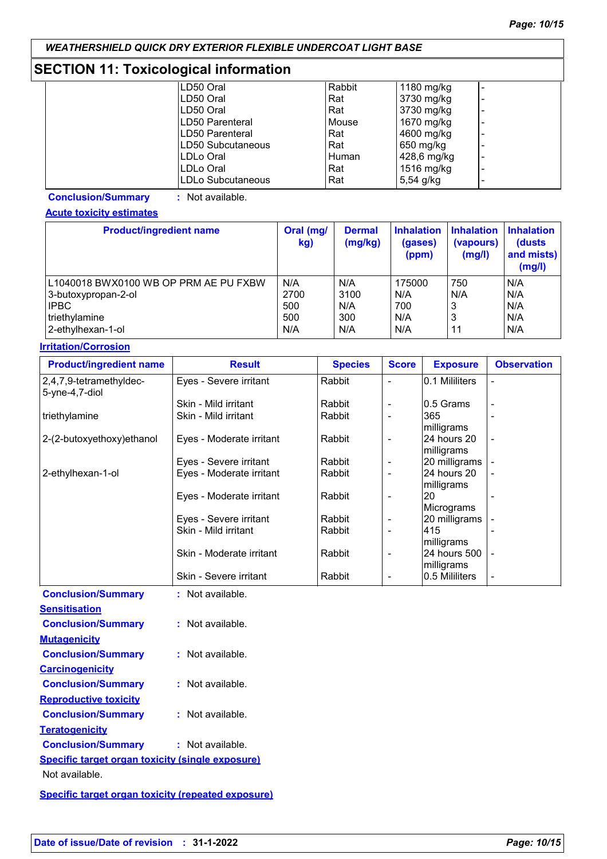## **SECTION 11: Toxicological information**

| LD50 Oral         | Rabbit | 1180 $mg/kg$ |                          |
|-------------------|--------|--------------|--------------------------|
| LD50 Oral         | Rat    | 3730 mg/kg   |                          |
| LD50 Oral         | Rat    | 3730 mg/kg   |                          |
| ILD50 Parenteral  | Mouse  | 1670 mg/kg   |                          |
| LD50 Parenteral   | Rat    | 4600 mg/kg   | $\overline{\phantom{0}}$ |
| LD50 Subcutaneous | Rat    | 650 mg/kg    |                          |
| ILDLo Oral        | Human  | 428,6 mg/kg  | $\overline{\phantom{0}}$ |
| ILDLo Oral        | Rat    | 1516 mg/kg   |                          |
| LDLo Subcutaneous | Rat    | 5,54 $g/kg$  |                          |

**Conclusion/Summary :** Not available.

**Acute toxicity estimates**

| <b>Product/ingredient name</b>        | Oral (mg/<br>kg) | <b>Dermal</b><br>(mg/kg) | <b>Inhalation</b><br>(gases)<br>(ppm) | <b>Inhalation</b><br>(vapours)<br>(mg/l) | <b>Inhalation</b><br>(dusts<br>and mists)<br>(mg/l) |
|---------------------------------------|------------------|--------------------------|---------------------------------------|------------------------------------------|-----------------------------------------------------|
| L1040018 BWX0100 WB OP PRM AE PU FXBW | N/A              | N/A                      | 175000                                | 750                                      | N/A                                                 |
| 3-butoxypropan-2-ol                   | 2700             | 3100                     | N/A                                   | N/A                                      | N/A                                                 |
| <b>IPBC</b>                           | 500              | N/A                      | 700                                   | 3                                        | N/A                                                 |
| triethylamine                         | 500              | 300                      | N/A                                   | 3                                        | N/A                                                 |
| 2-ethylhexan-1-ol                     | N/A              | N/A                      | N/A                                   | 11                                       | N/A                                                 |

#### **Irritation/Corrosion**

| <b>Product/ingredient name</b>               | <b>Result</b>            | <b>Species</b> | <b>Score</b>             | <b>Exposure</b>            | <b>Observation</b> |
|----------------------------------------------|--------------------------|----------------|--------------------------|----------------------------|--------------------|
| 2,4,7,9-tetramethyldec-<br>$5$ -yne-4,7-diol | Eyes - Severe irritant   | Rabbit         |                          | 0.1 Mililiters             |                    |
|                                              | Skin - Mild irritant     | Rabbit         |                          | 10.5 Grams                 |                    |
| triethylamine                                | Skin - Mild irritant     | Rabbit         |                          | 365<br>milligrams          |                    |
| 2-(2-butoxyethoxy)ethanol                    | Eyes - Moderate irritant | Rabbit         | $\blacksquare$           | l24 hours 20<br>milligrams |                    |
|                                              | Eyes - Severe irritant   | Rabbit         | ۰                        | 20 milligrams              |                    |
| 2-ethylhexan-1-ol                            | Eyes - Moderate irritant | Rabbit         | $\overline{\phantom{a}}$ | 24 hours 20<br>milligrams  |                    |
|                                              | Eyes - Moderate irritant | Rabbit         | $\overline{\phantom{a}}$ | 20<br>Micrograms           |                    |
|                                              | Eyes - Severe irritant   | Rabbit         |                          | 20 milligrams              |                    |
|                                              | Skin - Mild irritant     | Rabbit         |                          | 415<br>milligrams          |                    |
|                                              | Skin - Moderate irritant | Rabbit         | $\overline{\phantom{a}}$ | 24 hours 500<br>milligrams |                    |
|                                              | Skin - Severe irritant   | Rabbit         | $\blacksquare$           | 10.5 Mililiters            |                    |
| <b>Conclusion/Summary</b>                    | : Not available.         |                |                          |                            |                    |
| <b>Sensitisation</b>                         |                          |                |                          |                            |                    |
| <b>Conclusion/Summary</b>                    | : Not available.         |                |                          |                            |                    |

| <b>Mutagenicity</b>                                     |                    |
|---------------------------------------------------------|--------------------|
| <b>Conclusion/Summary</b>                               | $:$ Not available. |
| <u>Carcinogenicity</u>                                  |                    |
| <b>Conclusion/Summary</b>                               | $:$ Not available. |
| <b>Reproductive toxicity</b>                            |                    |
| <b>Conclusion/Summary</b>                               | : Not available.   |
| <u>Teratogenicity</u>                                   |                    |
| <b>Conclusion/Summary</b>                               | : Not available.   |
| <b>Specific target organ toxicity (single exposure)</b> |                    |
| Not available.                                          |                    |
|                                                         |                    |

**Specific target organ toxicity (repeated exposure)**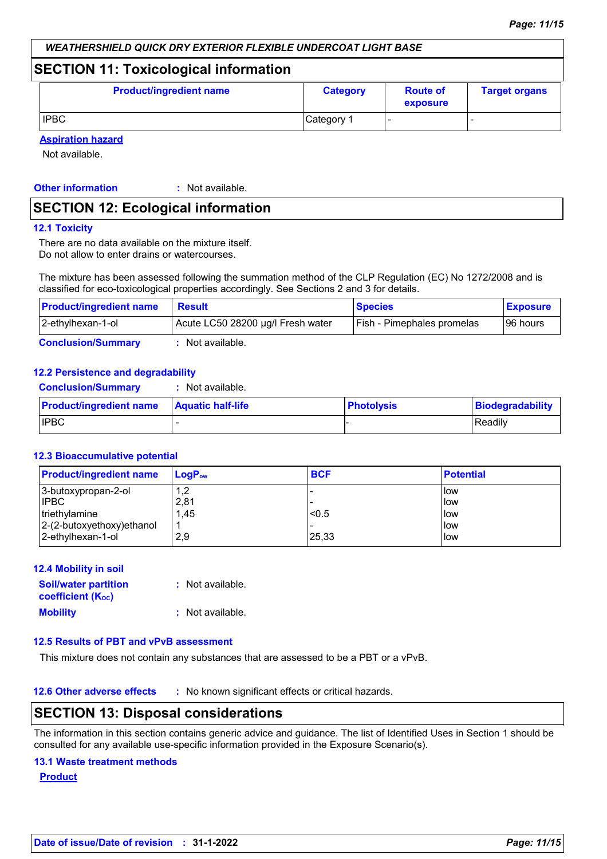**Biodegradability** 

### *WEATHERSHIELD QUICK DRY EXTERIOR FLEXIBLE UNDERCOAT LIGHT BASE*

## **SECTION 11: Toxicological information**

| <b>Product/ingredient name</b> | <b>Category</b> | <b>Route of</b><br>exposure | <b>Target organs</b> |
|--------------------------------|-----------------|-----------------------------|----------------------|
| <b>IPBC</b>                    | Category 1      |                             |                      |

**Aspiration hazard**

Not available.

**Other information :**

: Not available.

## **SECTION 12: Ecological information**

#### **12.1 Toxicity**

There are no data available on the mixture itself. Do not allow to enter drains or watercourses.

The mixture has been assessed following the summation method of the CLP Regulation (EC) No 1272/2008 and is classified for eco-toxicological properties accordingly. See Sections 2 and 3 for details.

| <b>Product/ingredient name</b> | <b>Result</b>                     | <b>Species</b>             | <b>Exposure</b> |
|--------------------------------|-----------------------------------|----------------------------|-----------------|
| 2-ethylhexan-1-ol              | Acute LC50 28200 µg/l Fresh water | Fish - Pimephales promelas | 196 hours       |
| <b>Conclusion/Summary</b>      | Not available.                    |                            |                 |

#### **12.2 Persistence and degradability**

| <b>Conclusion/Summary</b>      | : Not available.         |                   |                |
|--------------------------------|--------------------------|-------------------|----------------|
| <b>Product/ingredient name</b> | <b>Aquatic half-life</b> | <b>Photolysis</b> | Biodegradabili |
| <b>IPBC</b>                    |                          |                   | Readily        |

#### **12.3 Bioaccumulative potential**

| <b>Product/ingredient name</b> | $\mathsf{LogP}_\mathsf{ow}$ | <b>BCF</b> | <b>Potential</b> |
|--------------------------------|-----------------------------|------------|------------------|
| 3-butoxypropan-2-ol            | 1,2                         |            | l low            |
| <b>IPBC</b>                    | 2,81                        |            | low              |
| triethylamine                  | 1,45                        | < 0.5      | low              |
| $ 2-(2-butoxyethoxy)ethanol$   |                             |            | low              |
| 2-ethylhexan-1-ol              | 2.9                         | 25,33      | low              |

#### **12.4 Mobility in soil**

| <b>Soil/water partition</b>           | : Not available. |
|---------------------------------------|------------------|
| <b>coefficient</b> (K <sub>oc</sub> ) |                  |
| <b>Mobility</b>                       | : Not available. |

## **12.5 Results of PBT and vPvB assessment**

This mixture does not contain any substances that are assessed to be a PBT or a vPvB.

**12.6 Other adverse effects** : No known significant effects or critical hazards.

## **SECTION 13: Disposal considerations**

The information in this section contains generic advice and guidance. The list of Identified Uses in Section 1 should be consulted for any available use-specific information provided in the Exposure Scenario(s).

#### **13.1 Waste treatment methods**

**Product**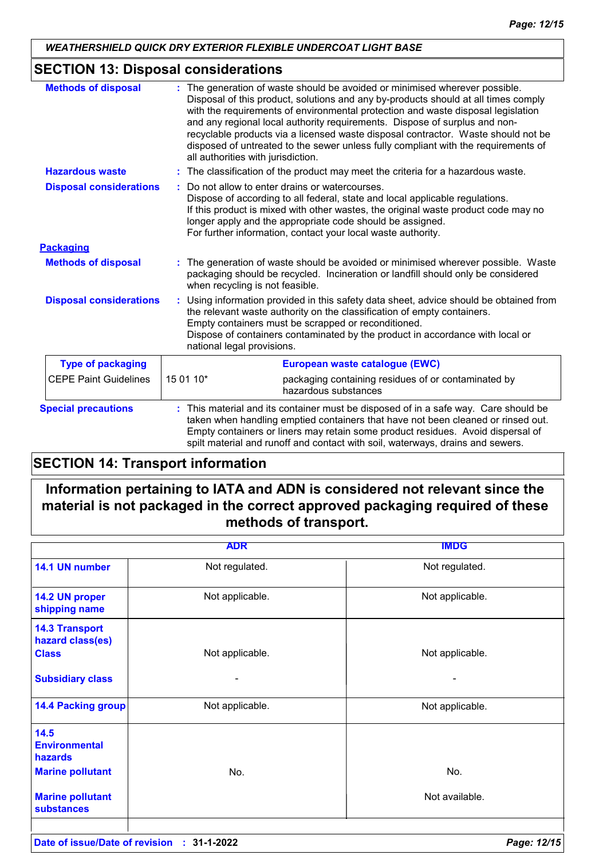## **SECTION 13: Disposal considerations**

| <b>Methods of disposal</b>     | The generation of waste should be avoided or minimised wherever possible.<br>Disposal of this product, solutions and any by-products should at all times comply<br>with the requirements of environmental protection and waste disposal legislation<br>and any regional local authority requirements. Dispose of surplus and non-<br>recyclable products via a licensed waste disposal contractor. Waste should not be<br>disposed of untreated to the sewer unless fully compliant with the requirements of<br>all authorities with jurisdiction. |  |
|--------------------------------|----------------------------------------------------------------------------------------------------------------------------------------------------------------------------------------------------------------------------------------------------------------------------------------------------------------------------------------------------------------------------------------------------------------------------------------------------------------------------------------------------------------------------------------------------|--|
| <b>Hazardous waste</b>         | : The classification of the product may meet the criteria for a hazardous waste.                                                                                                                                                                                                                                                                                                                                                                                                                                                                   |  |
| <b>Disposal considerations</b> | Do not allow to enter drains or watercourses.<br>Dispose of according to all federal, state and local applicable regulations.<br>If this product is mixed with other wastes, the original waste product code may no<br>longer apply and the appropriate code should be assigned.<br>For further information, contact your local waste authority.                                                                                                                                                                                                   |  |
| <b>Packaging</b>               |                                                                                                                                                                                                                                                                                                                                                                                                                                                                                                                                                    |  |
| <b>Methods of disposal</b>     | : The generation of waste should be avoided or minimised wherever possible. Waste<br>packaging should be recycled. Incineration or landfill should only be considered<br>when recycling is not feasible.                                                                                                                                                                                                                                                                                                                                           |  |
| <b>Disposal considerations</b> | Using information provided in this safety data sheet, advice should be obtained from<br>the relevant waste authority on the classification of empty containers.<br>Empty containers must be scrapped or reconditioned.<br>Dispose of containers contaminated by the product in accordance with local or<br>national legal provisions.                                                                                                                                                                                                              |  |
| <b>Type of packaging</b>       | European waste catalogue (EWC)                                                                                                                                                                                                                                                                                                                                                                                                                                                                                                                     |  |
| <b>CEPE Paint Guidelines</b>   | 15 01 10*<br>packaging containing residues of or contaminated by<br>hazardous substances                                                                                                                                                                                                                                                                                                                                                                                                                                                           |  |
| <b>Special precautions</b>     | : This material and its container must be disposed of in a safe way. Care should be<br>taken when handling emptied containers that have not been cleaned or rinsed out.<br>Empty containers or liners may retain some product residues. Avoid dispersal of<br>spilt material and runoff and contact with soil, waterways, drains and sewers.                                                                                                                                                                                                       |  |

## **SECTION 14: Transport information**

## **Information pertaining to IATA and ADN is considered not relevant since the material is not packaged in the correct approved packaging required of these methods of transport.**

|                                                                    | <b>ADR</b>      | <b>IMDG</b>     |
|--------------------------------------------------------------------|-----------------|-----------------|
| 14.1 UN number                                                     | Not regulated.  | Not regulated.  |
| 14.2 UN proper<br>shipping name                                    | Not applicable. | Not applicable. |
| <b>14.3 Transport</b><br>hazard class(es)<br><b>Class</b>          | Not applicable. | Not applicable. |
| <b>Subsidiary class</b>                                            |                 |                 |
| <b>14.4 Packing group</b>                                          | Not applicable. | Not applicable. |
| 14.5<br><b>Environmental</b><br>hazards<br><b>Marine pollutant</b> | No.             | No.             |
| <b>Marine pollutant</b><br><b>substances</b>                       |                 | Not available.  |
|                                                                    |                 |                 |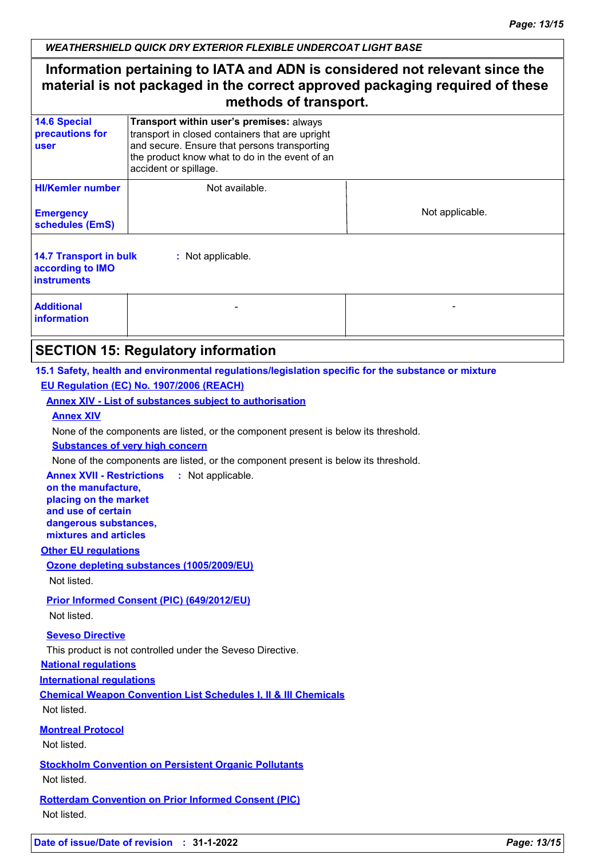## **Information pertaining to IATA and ADN is considered not relevant since the material is not packaged in the correct approved packaging required of these methods of transport.**

| <b>14.6 Special</b><br>precautions for<br><b>user</b>                                        | Transport within user's premises: always<br>transport in closed containers that are upright<br>and secure. Ensure that persons transporting<br>the product know what to do in the event of an<br>accident or spillage. |                 |  |  |
|----------------------------------------------------------------------------------------------|------------------------------------------------------------------------------------------------------------------------------------------------------------------------------------------------------------------------|-----------------|--|--|
| <b>HI/Kemler number</b><br><b>Emergency</b><br>schedules (EmS)                               | Not available.                                                                                                                                                                                                         | Not applicable. |  |  |
| <b>14.7 Transport in bulk</b><br>: Not applicable.<br>according to IMO<br><b>instruments</b> |                                                                                                                                                                                                                        |                 |  |  |
| <b>Additional</b><br><b>information</b>                                                      |                                                                                                                                                                                                                        |                 |  |  |

## **SECTION 15: Regulatory information**

### **15.1 Safety, health and environmental regulations/legislation specific for the substance or mixture EU Regulation (EC) No. 1907/2006 (REACH)**

### **Annex XIV - List of substances subject to authorisation**

#### **Annex XIV**

None of the components are listed, or the component present is below its threshold.

#### **Substances of very high concern**

None of the components are listed, or the component present is below its threshold.

**Annex XVII - Restrictions :** Not applicable.

**on the manufacture, placing on the market and use of certain dangerous substances, mixtures and articles**

#### **Other EU regulations**

## **Ozone depleting substances (1005/2009/EU)**

Not listed.

## **Prior Informed Consent (PIC) (649/2012/EU)**

Not listed.

#### **Seveso Directive**

This product is not controlled under the Seveso Directive.

#### **National regulations**

**International regulations**

**Chemical Weapon Convention List Schedules I, II & III Chemicals**

Not listed.

#### **Montreal Protocol**

Not listed.

**Stockholm Convention on Persistent Organic Pollutants** Not listed.

**Rotterdam Convention on Prior Informed Consent (PIC)** Not listed.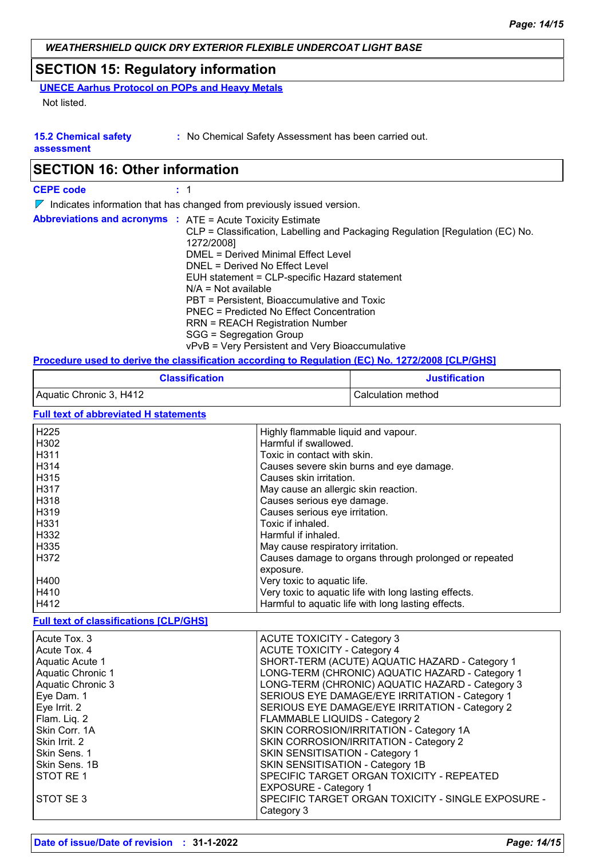## **SECTION 15: Regulatory information**

**UNECE Aarhus Protocol on POPs and Heavy Metals**

Not listed.

#### **15.2 Chemical safety**

**:** No Chemical Safety Assessment has been carried out.

**assessment**

## **SECTION 16: Other information**

| <b>CEPE code</b>                                                  |                                                                                                                                                                                                                                                                                                                                                                                                                                                                   |
|-------------------------------------------------------------------|-------------------------------------------------------------------------------------------------------------------------------------------------------------------------------------------------------------------------------------------------------------------------------------------------------------------------------------------------------------------------------------------------------------------------------------------------------------------|
|                                                                   | $\nabla$ Indicates information that has changed from previously issued version.                                                                                                                                                                                                                                                                                                                                                                                   |
| <b>Abbreviations and acronyms : ATE = Acute Toxicity Estimate</b> | CLP = Classification, Labelling and Packaging Regulation [Regulation (EC) No.<br>1272/2008]<br>DMEL = Derived Minimal Effect Level<br>DNEL = Derived No Effect Level<br>EUH statement = CLP-specific Hazard statement<br>$N/A = Not available$<br>PBT = Persistent, Bioaccumulative and Toxic<br>PNEC = Predicted No Effect Concentration<br><b>RRN = REACH Registration Number</b><br>SGG = Segregation Group<br>vPvB = Very Persistent and Very Bioaccumulative |
|                                                                   | Bassed and the dealers the chemithed are considered. Beautetten (PA) New 4050/0000 IALB/AUAI                                                                                                                                                                                                                                                                                                                                                                      |

### **Procedure used to derive the classification according to Regulation (EC) No. 1272/2008 [CLP/GHS]**

| <b>Classification</b>   | <b>Justification</b> |
|-------------------------|----------------------|
| Aquatic Chronic 3, H412 | Calculation method   |

**Full text of abbreviated H statements**

| H <sub>225</sub>  | Highly flammable liquid and vapour.                   |
|-------------------|-------------------------------------------------------|
| H302              | Harmful if swallowed.                                 |
| H <sub>3</sub> 11 | Toxic in contact with skin.                           |
| H314              | Causes severe skin burns and eye damage.              |
| H315              | Causes skin irritation.                               |
| H <sub>3</sub> 17 | May cause an allergic skin reaction.                  |
| H318              | Causes serious eye damage.                            |
| H319              | Causes serious eye irritation.                        |
| H331              | Toxic if inhaled.                                     |
| H332              | Harmful if inhaled.                                   |
| H335              | May cause respiratory irritation.                     |
| H372              | Causes damage to organs through prolonged or repeated |
|                   | exposure.                                             |
| H400              | Very toxic to aquatic life.                           |
| H410              | Very toxic to aquatic life with long lasting effects. |
| H412              | Harmful to aquatic life with long lasting effects.    |

#### **Full text of classifications [CLP/GHS]**

| Acute Tox. 3      | <b>ACUTE TOXICITY - Category 3</b>                 |
|-------------------|----------------------------------------------------|
| Acute Tox, 4      | <b>ACUTE TOXICITY - Category 4</b>                 |
| Aquatic Acute 1   | SHORT-TERM (ACUTE) AQUATIC HAZARD - Category 1     |
| Aquatic Chronic 1 | LONG-TERM (CHRONIC) AQUATIC HAZARD - Category 1    |
| Aquatic Chronic 3 | LONG-TERM (CHRONIC) AQUATIC HAZARD - Category 3    |
| Eye Dam. 1        | SERIOUS EYE DAMAGE/EYE IRRITATION - Category 1     |
| Eye Irrit. 2      | SERIOUS EYE DAMAGE/EYE IRRITATION - Category 2     |
| Flam. Liq. 2      | FLAMMABLE LIQUIDS - Category 2                     |
| Skin Corr. 1A     | SKIN CORROSION/IRRITATION - Category 1A            |
| Skin Irrit. 2     | SKIN CORROSION/IRRITATION - Category 2             |
| Skin Sens. 1      | <b>SKIN SENSITISATION - Category 1</b>             |
| Skin Sens. 1B     | SKIN SENSITISATION - Category 1B                   |
| STOT RE1          | SPECIFIC TARGET ORGAN TOXICITY - REPEATED          |
|                   | <b>EXPOSURE - Category 1</b>                       |
| STOT SE 3         | SPECIFIC TARGET ORGAN TOXICITY - SINGLE EXPOSURE - |
|                   | Category 3                                         |